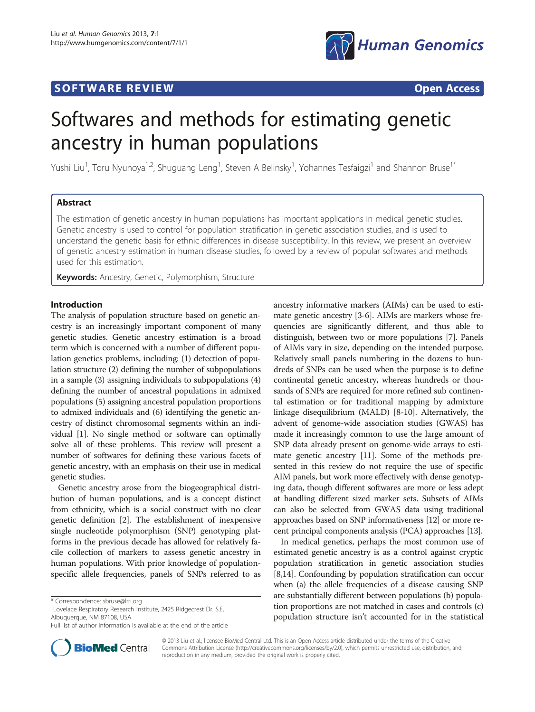# **SOFTWARE REVIEW CONTROLLER CONTROLLER CONTROLLER CONTROLLER CONTROLLER CONTROLLER CONTROLLER CONTROLLER CONTROLLER**



# Softwares and methods for estimating genetic ancestry in human populations

Yushi Liu<sup>1</sup>, Toru Nyunoya<sup>1,2</sup>, Shuguang Leng<sup>1</sup>, Steven A Belinsky<sup>1</sup>, Yohannes Tesfaigzi<sup>1</sup> and Shannon Bruse<sup>1\*</sup>

# Abstract

The estimation of genetic ancestry in human populations has important applications in medical genetic studies. Genetic ancestry is used to control for population stratification in genetic association studies, and is used to understand the genetic basis for ethnic differences in disease susceptibility. In this review, we present an overview of genetic ancestry estimation in human disease studies, followed by a review of popular softwares and methods used for this estimation.

Keywords: Ancestry, Genetic, Polymorphism, Structure

#### Introduction

The analysis of population structure based on genetic ancestry is an increasingly important component of many genetic studies. Genetic ancestry estimation is a broad term which is concerned with a number of different population genetics problems, including: (1) detection of population structure (2) defining the number of subpopulations in a sample (3) assigning individuals to subpopulations (4) defining the number of ancestral populations in admixed populations (5) assigning ancestral population proportions to admixed individuals and (6) identifying the genetic ancestry of distinct chromosomal segments within an individual [\[1](#page-5-0)]. No single method or software can optimally solve all of these problems. This review will present a number of softwares for defining these various facets of genetic ancestry, with an emphasis on their use in medical genetic studies.

Genetic ancestry arose from the biogeographical distribution of human populations, and is a concept distinct from ethnicity, which is a social construct with no clear genetic definition [\[2](#page-5-0)]. The establishment of inexpensive single nucleotide polymorphism (SNP) genotyping platforms in the previous decade has allowed for relatively facile collection of markers to assess genetic ancestry in human populations. With prior knowledge of populationspecific allele frequencies, panels of SNPs referred to as



ancestry informative markers (AIMs) can be used to esti-

In medical genetics, perhaps the most common use of estimated genetic ancestry is as a control against cryptic population stratification in genetic association studies [[8,14](#page-5-0)]. Confounding by population stratification can occur when (a) the allele frequencies of a disease causing SNP are substantially different between populations (b) population proportions are not matched in cases and controls (c) population structure isn't accounted for in the statistical



© 2013 Liu et al.; licensee BioMed Central Ltd. This is an Open Access article distributed under the terms of the Creative Commons Attribution License [\(http://creativecommons.org/licenses/by/2.0\)](http://creativecommons.org/licenses/by/2.0), which permits unrestricted use, distribution, and reproduction in any medium, provided the original work is properly cited.

<sup>\*</sup> Correspondence: [sbruse@lrri.org](mailto:sbruse@lrri.org) <sup>1</sup>

<sup>&</sup>lt;sup>1</sup> Lovelace Respiratory Research Institute, 2425 Ridgecrest Dr. S.E, Albuquerque, NM 87108, USA

Full list of author information is available at the end of the article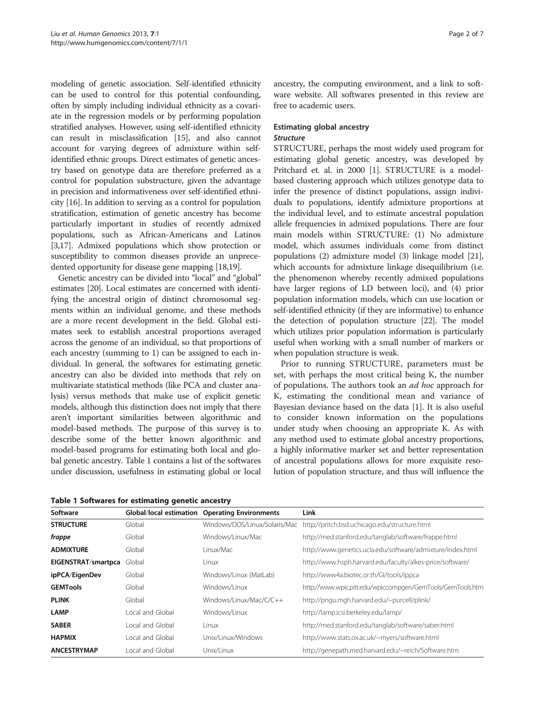modeling of genetic association. Self-identified ethnicity can be used to control for this potential confounding, often by simply including individual ethnicity as a covariate in the regression models or by performing population stratified analyses. However, using self-identified ethnicity can result in misclassification [\[15\]](#page-5-0), and also cannot account for varying degrees of admixture within selfidentified ethnic groups. Direct estimates of genetic ancestry based on genotype data are therefore preferred as a control for population substructure, given the advantage in precision and informativeness over self-identified ethnicity [[16](#page-5-0)]. In addition to serving as a control for population stratification, estimation of genetic ancestry has become particularly important in studies of recently admixed populations, such as African-Americans and Latinos [[3,17](#page-5-0)]. Admixed populations which show protection or susceptibility to common diseases provide an unprecedented opportunity for disease gene mapping [[18,19](#page-5-0)].

Genetic ancestry can be divided into "local" and "global" estimates [\[20\]](#page-5-0). Local estimates are concerned with identifying the ancestral origin of distinct chromosomal segments within an individual genome, and these methods are a more recent development in the field. Global estimates seek to establish ancestral proportions averaged across the genome of an individual, so that proportions of each ancestry (summing to 1) can be assigned to each individual. In general, the softwares for estimating genetic ancestry can also be divided into methods that rely on multivariate statistical methods (like PCA and cluster analysis) versus methods that make use of explicit genetic models, although this distinction does not imply that there aren't important similarities between algorithmic and model-based methods. The purpose of this survey is to describe some of the better known algorithmic and model-based programs for estimating both local and global genetic ancestry. Table 1 contains a list of the softwares under discussion, usefulness in estimating global or local

Table 1 Softwares for estimating genetic ancestry

ancestry, the computing environment, and a link to software website. All softwares presented in this review are free to academic users.

# Estimating global ancestry **Structure**

STRUCTURE, perhaps the most widely used program for estimating global genetic ancestry, was developed by Pritchard et. al. in 2000 [\[1](#page-5-0)]. STRUCTURE is a modelbased clustering approach which utilizes genotype data to infer the presence of distinct populations, assign individuals to populations, identify admixture proportions at the individual level, and to estimate ancestral population allele frequencies in admixed populations. There are four main models within STRUCTURE: (1) No admixture model, which assumes individuals come from distinct populations (2) admixture model (3) linkage model [[21](#page-5-0)], which accounts for admixture linkage disequilibrium (i.e. the phenomenon whereby recently admixed populations have larger regions of LD between loci), and (4) prior population information models, which can use location or self-identified ethnicity (if they are informative) to enhance the detection of population structure [[22](#page-5-0)]. The model which utilizes prior population information is particularly useful when working with a small number of markers or when population structure is weak.

Prior to running STRUCTURE, parameters must be set, with perhaps the most critical being K, the number of populations. The authors took an *ad hoc* approach for K, estimating the conditional mean and variance of Bayesian deviance based on the data [\[1](#page-5-0)]. It is also useful to consider known information on the populations under study when choosing an appropriate K. As with any method used to estimate global ancestry proportions, a highly informative marker set and better representation of ancestral populations allows for more exquisite resolution of population structure, and thus will influence the

| Software            | Global/local estimation | <b>Operating Environments</b> | Link                                                       |
|---------------------|-------------------------|-------------------------------|------------------------------------------------------------|
| <b>STRUCTURE</b>    | Global                  | Windows/DOS/Linux/Solaris/Mac | http://pritch.bsd.uchicago.edu/structure.html              |
| frappe              | Global                  | Windows/Linux/Mac             | http://med.stanford.edu/tanglab/software/frappe.html       |
| <b>ADMIXTURE</b>    | Global                  | Linux/Mac                     | http://www.genetics.ucla.edu/software/admixture/index.html |
| EIGENSTRAT/smartpca | Global                  | Linux                         | http://www.hsph.harvard.edu/faculty/alkes-price/software/  |
| ipPCA/EigenDev      | Global                  | Windows/Linux (MatLab)        | http://www4a.biotec.or.th/Gl/tools/ippca                   |
| <b>GEMTools</b>     | Global                  | Windows/Linux                 | http://www.wpic.pitt.edu/wpiccompgen/GemTools/GemTools.htm |
| <b>PLINK</b>        | Global                  | Windows/Linux/Mac/C/C++       | http://pngu.mgh.harvard.edu/~purcell/plink/                |
| <b>LAMP</b>         | Local and Global        | Windows/Linux                 | http://lamp.icsi.berkeley.edu/lamp/                        |
| <b>SABER</b>        | Local and Global        | Linux                         | http://med.stanford.edu/tanglab/software/saber.html        |
| <b>HAPMIX</b>       | Local and Global        | Unix/Linux/Windows            | http://www.stats.ox.ac.uk/~myers/software.html             |
| <b>ANCESTRYMAP</b>  | Local and Global        | Unix/Linux                    | http://genepath.med.harvard.edu/~reich/Software.htm        |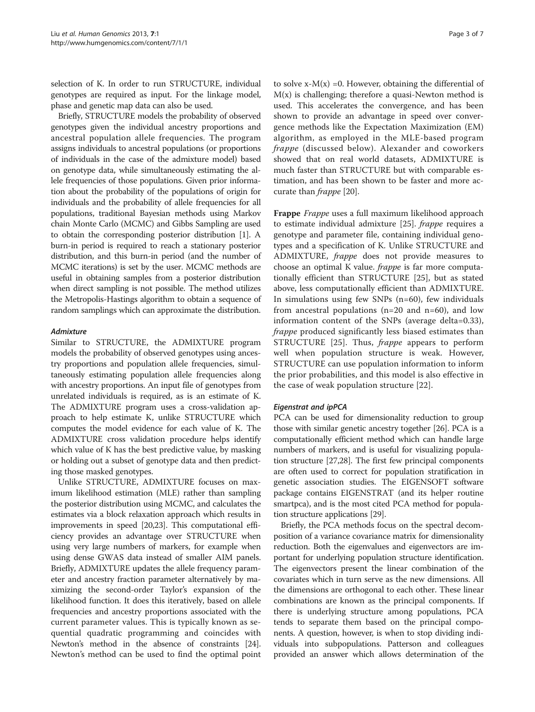selection of K. In order to run STRUCTURE, individual genotypes are required as input. For the linkage model, phase and genetic map data can also be used.

Briefly, STRUCTURE models the probability of observed genotypes given the individual ancestry proportions and ancestral population allele frequencies. The program assigns individuals to ancestral populations (or proportions of individuals in the case of the admixture model) based on genotype data, while simultaneously estimating the allele frequencies of those populations. Given prior information about the probability of the populations of origin for individuals and the probability of allele frequencies for all populations, traditional Bayesian methods using Markov chain Monte Carlo (MCMC) and Gibbs Sampling are used to obtain the corresponding posterior distribution [\[1](#page-5-0)]. A burn-in period is required to reach a stationary posterior distribution, and this burn-in period (and the number of MCMC iterations) is set by the user. MCMC methods are useful in obtaining samples from a posterior distribution when direct sampling is not possible. The method utilizes the Metropolis-Hastings algorithm to obtain a sequence of random samplings which can approximate the distribution.

#### Admixture

Similar to STRUCTURE, the ADMIXTURE program models the probability of observed genotypes using ancestry proportions and population allele frequencies, simultaneously estimating population allele frequencies along with ancestry proportions. An input file of genotypes from unrelated individuals is required, as is an estimate of K. The ADMIXTURE program uses a cross-validation approach to help estimate K, unlike STRUCTURE which computes the model evidence for each value of K. The ADMIXTURE cross validation procedure helps identify which value of K has the best predictive value, by masking or holding out a subset of genotype data and then predicting those masked genotypes.

Unlike STRUCTURE, ADMIXTURE focuses on maximum likelihood estimation (MLE) rather than sampling the posterior distribution using MCMC, and calculates the estimates via a block relaxation approach which results in improvements in speed [\[20,23](#page-5-0)]. This computational efficiency provides an advantage over STRUCTURE when using very large numbers of markers, for example when using dense GWAS data instead of smaller AIM panels. Briefly, ADMIXTURE updates the allele frequency parameter and ancestry fraction parameter alternatively by maximizing the second-order Taylor's expansion of the likelihood function. It does this iteratively, based on allele frequencies and ancestry proportions associated with the current parameter values. This is typically known as sequential quadratic programming and coincides with Newton's method in the absence of constraints [[24](#page-5-0)]. Newton's method can be used to find the optimal point

to solve  $x-M(x) = 0$ . However, obtaining the differential of  $M(x)$  is challenging; therefore a quasi-Newton method is used. This accelerates the convergence, and has been shown to provide an advantage in speed over convergence methods like the Expectation Maximization (EM) algorithm, as employed in the MLE-based program frappe (discussed below). Alexander and coworkers showed that on real world datasets, ADMIXTURE is much faster than STRUCTURE but with comparable estimation, and has been shown to be faster and more accurate than frappe [\[20\]](#page-5-0).

Frappe Frappe uses a full maximum likelihood approach to estimate individual admixture [\[25](#page-5-0)]. frappe requires a genotype and parameter file, containing individual genotypes and a specification of K. Unlike STRUCTURE and ADMIXTURE, frappe does not provide measures to choose an optimal K value. frappe is far more computationally efficient than STRUCTURE [[25\]](#page-5-0), but as stated above, less computationally efficient than ADMIXTURE. In simulations using few SNPs  $(n=60)$ , few individuals from ancestral populations  $(n=20 \text{ and } n=60)$ , and low information content of the SNPs (average delta=0.33), frappe produced significantly less biased estimates than STRUCTURE [\[25](#page-5-0)]. Thus, frappe appears to perform well when population structure is weak. However, STRUCTURE can use population information to inform the prior probabilities, and this model is also effective in the case of weak population structure [[22\]](#page-5-0).

#### Eigenstrat and ipPCA

PCA can be used for dimensionality reduction to group those with similar genetic ancestry together [\[26](#page-5-0)]. PCA is a computationally efficient method which can handle large numbers of markers, and is useful for visualizing population structure [\[27,28](#page-5-0)]. The first few principal components are often used to correct for population stratification in genetic association studies. The EIGENSOFT software package contains EIGENSTRAT (and its helper routine smartpca), and is the most cited PCA method for population structure applications [\[29\]](#page-5-0).

Briefly, the PCA methods focus on the spectral decomposition of a variance covariance matrix for dimensionality reduction. Both the eigenvalues and eigenvectors are important for underlying population structure identification. The eigenvectors present the linear combination of the covariates which in turn serve as the new dimensions. All the dimensions are orthogonal to each other. These linear combinations are known as the principal components. If there is underlying structure among populations, PCA tends to separate them based on the principal components. A question, however, is when to stop dividing individuals into subpopulations. Patterson and colleagues provided an answer which allows determination of the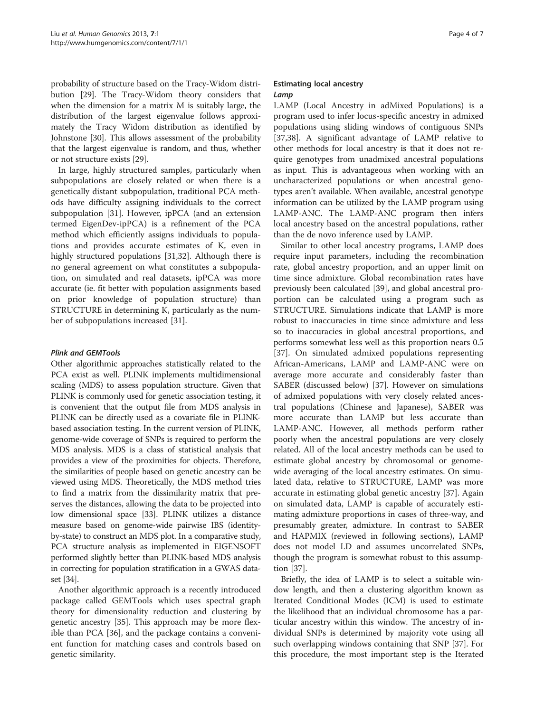probability of structure based on the Tracy-Widom distribution [\[29\]](#page-5-0). The Tracy-Widom theory considers that when the dimension for a matrix M is suitably large, the distribution of the largest eigenvalue follows approximately the Tracy Widom distribution as identified by Johnstone [\[30](#page-5-0)]. This allows assessment of the probability that the largest eigenvalue is random, and thus, whether or not structure exists [\[29](#page-5-0)].

In large, highly structured samples, particularly when subpopulations are closely related or when there is a genetically distant subpopulation, traditional PCA methods have difficulty assigning individuals to the correct subpopulation [\[31](#page-5-0)]. However, ipPCA (and an extension termed EigenDev-ipPCA) is a refinement of the PCA method which efficiently assigns individuals to populations and provides accurate estimates of K, even in highly structured populations [\[31,32\]](#page-5-0). Although there is no general agreement on what constitutes a subpopulation, on simulated and real datasets, ipPCA was more accurate (ie. fit better with population assignments based on prior knowledge of population structure) than STRUCTURE in determining K, particularly as the number of subpopulations increased [\[31](#page-5-0)].

# Plink and GEMTools

Other algorithmic approaches statistically related to the PCA exist as well. PLINK implements multidimensional scaling (MDS) to assess population structure. Given that PLINK is commonly used for genetic association testing, it is convenient that the output file from MDS analysis in PLINK can be directly used as a covariate file in PLINKbased association testing. In the current version of PLINK, genome-wide coverage of SNPs is required to perform the MDS analysis. MDS is a class of statistical analysis that provides a view of the proximities for objects. Therefore, the similarities of people based on genetic ancestry can be viewed using MDS. Theoretically, the MDS method tries to find a matrix from the dissimilarity matrix that preserves the distances, allowing the data to be projected into low dimensional space [[33\]](#page-5-0). PLINK utilizes a distance measure based on genome-wide pairwise IBS (identityby-state) to construct an MDS plot. In a comparative study, PCA structure analysis as implemented in EIGENSOFT performed slightly better than PLINK-based MDS analysis in correcting for population stratification in a GWAS dataset [\[34\]](#page-5-0).

Another algorithmic approach is a recently introduced package called GEMTools which uses spectral graph theory for dimensionality reduction and clustering by genetic ancestry [\[35](#page-5-0)]. This approach may be more flexible than PCA [[36\]](#page-5-0), and the package contains a convenient function for matching cases and controls based on genetic similarity.

### Estimating local ancestry Lamp

LAMP (Local Ancestry in adMixed Populations) is a program used to infer locus-specific ancestry in admixed populations using sliding windows of contiguous SNPs [[37,](#page-5-0)[38\]](#page-6-0). A significant advantage of LAMP relative to other methods for local ancestry is that it does not require genotypes from unadmixed ancestral populations as input. This is advantageous when working with an uncharacterized populations or when ancestral genotypes aren't available. When available, ancestral genotype information can be utilized by the LAMP program using LAMP-ANC. The LAMP-ANC program then infers local ancestry based on the ancestral populations, rather than the de novo inference used by LAMP.

Similar to other local ancestry programs, LAMP does require input parameters, including the recombination rate, global ancestry proportion, and an upper limit on time since admixture. Global recombination rates have previously been calculated [\[39](#page-6-0)], and global ancestral proportion can be calculated using a program such as STRUCTURE. Simulations indicate that LAMP is more robust to inaccuracies in time since admixture and less so to inaccuracies in global ancestral proportions, and performs somewhat less well as this proportion nears 0.5 [[37\]](#page-5-0). On simulated admixed populations representing African-Americans, LAMP and LAMP-ANC were on average more accurate and considerably faster than SABER (discussed below) [[37\]](#page-5-0). However on simulations of admixed populations with very closely related ancestral populations (Chinese and Japanese), SABER was more accurate than LAMP but less accurate than LAMP-ANC. However, all methods perform rather poorly when the ancestral populations are very closely related. All of the local ancestry methods can be used to estimate global ancestry by chromosomal or genomewide averaging of the local ancestry estimates. On simulated data, relative to STRUCTURE, LAMP was more accurate in estimating global genetic ancestry [[37](#page-5-0)]. Again on simulated data, LAMP is capable of accurately estimating admixture proportions in cases of three-way, and presumably greater, admixture. In contrast to SABER and HAPMIX (reviewed in following sections), LAMP does not model LD and assumes uncorrelated SNPs, though the program is somewhat robust to this assumption [\[37\]](#page-5-0).

Briefly, the idea of LAMP is to select a suitable window length, and then a clustering algorithm known as Iterated Conditional Modes (ICM) is used to estimate the likelihood that an individual chromosome has a particular ancestry within this window. The ancestry of individual SNPs is determined by majority vote using all such overlapping windows containing that SNP [\[37](#page-5-0)]. For this procedure, the most important step is the Iterated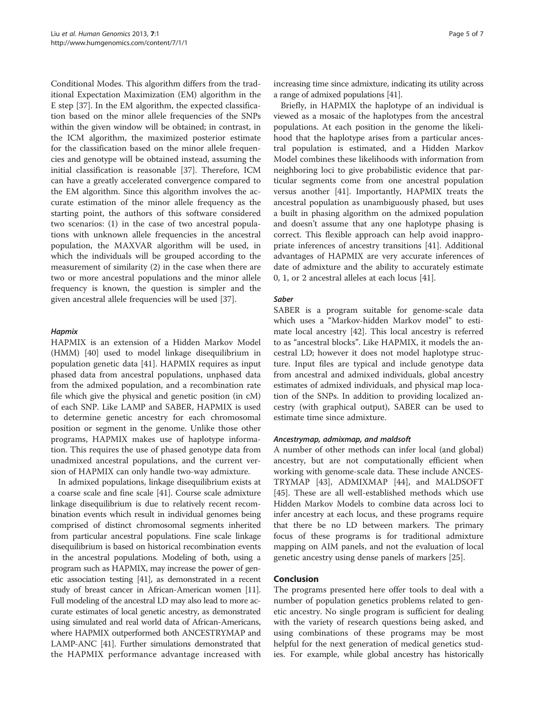Conditional Modes. This algorithm differs from the traditional Expectation Maximization (EM) algorithm in the E step [[37\]](#page-5-0). In the EM algorithm, the expected classification based on the minor allele frequencies of the SNPs within the given window will be obtained; in contrast, in the ICM algorithm, the maximized posterior estimate for the classification based on the minor allele frequencies and genotype will be obtained instead, assuming the initial classification is reasonable [\[37](#page-5-0)]. Therefore, ICM can have a greatly accelerated convergence compared to the EM algorithm. Since this algorithm involves the accurate estimation of the minor allele frequency as the starting point, the authors of this software considered two scenarios: (1) in the case of two ancestral populations with unknown allele frequencies in the ancestral population, the MAXVAR algorithm will be used, in which the individuals will be grouped according to the measurement of similarity (2) in the case when there are two or more ancestral populations and the minor allele frequency is known, the question is simpler and the given ancestral allele frequencies will be used [\[37](#page-5-0)].

#### **Hapmix**

HAPMIX is an extension of a Hidden Markov Model (HMM) [\[40](#page-6-0)] used to model linkage disequilibrium in population genetic data [\[41\]](#page-6-0). HAPMIX requires as input phased data from ancestral populations, unphased data from the admixed population, and a recombination rate file which give the physical and genetic position (in cM) of each SNP. Like LAMP and SABER, HAPMIX is used to determine genetic ancestry for each chromosomal position or segment in the genome. Unlike those other programs, HAPMIX makes use of haplotype information. This requires the use of phased genotype data from unadmixed ancestral populations, and the current version of HAPMIX can only handle two-way admixture.

In admixed populations, linkage disequilibrium exists at a coarse scale and fine scale [\[41\]](#page-6-0). Course scale admixture linkage disequilibrium is due to relatively recent recombination events which result in individual genomes being comprised of distinct chromosomal segments inherited from particular ancestral populations. Fine scale linkage disequilibrium is based on historical recombination events in the ancestral populations. Modeling of both, using a program such as HAPMIX, may increase the power of genetic association testing [[41\]](#page-6-0), as demonstrated in a recent study of breast cancer in African-American women [\[11](#page-5-0)]. Full modeling of the ancestral LD may also lead to more accurate estimates of local genetic ancestry, as demonstrated using simulated and real world data of African-Americans, where HAPMIX outperformed both ANCESTRYMAP and LAMP-ANC [\[41](#page-6-0)]. Further simulations demonstrated that the HAPMIX performance advantage increased with increasing time since admixture, indicating its utility across a range of admixed populations [[41](#page-6-0)].

Briefly, in HAPMIX the haplotype of an individual is viewed as a mosaic of the haplotypes from the ancestral populations. At each position in the genome the likelihood that the haplotype arises from a particular ancestral population is estimated, and a Hidden Markov Model combines these likelihoods with information from neighboring loci to give probabilistic evidence that particular segments come from one ancestral population versus another [[41\]](#page-6-0). Importantly, HAPMIX treats the ancestral population as unambiguously phased, but uses a built in phasing algorithm on the admixed population and doesn't assume that any one haplotype phasing is correct. This flexible approach can help avoid inappropriate inferences of ancestry transitions [\[41](#page-6-0)]. Additional advantages of HAPMIX are very accurate inferences of date of admixture and the ability to accurately estimate 0, 1, or 2 ancestral alleles at each locus [\[41](#page-6-0)].

#### Saber

SABER is a program suitable for genome-scale data which uses a "Markov-hidden Markov model" to estimate local ancestry [\[42](#page-6-0)]. This local ancestry is referred to as "ancestral blocks". Like HAPMIX, it models the ancestral LD; however it does not model haplotype structure. Input files are typical and include genotype data from ancestral and admixed individuals, global ancestry estimates of admixed individuals, and physical map location of the SNPs. In addition to providing localized ancestry (with graphical output), SABER can be used to estimate time since admixture.

#### Ancestrymap, admixmap, and maldsoft

A number of other methods can infer local (and global) ancestry, but are not computationally efficient when working with genome-scale data. These include ANCES-TRYMAP [[43\]](#page-6-0), ADMIXMAP [[44\]](#page-6-0), and MALDSOFT [[45\]](#page-6-0). These are all well-established methods which use Hidden Markov Models to combine data across loci to infer ancestry at each locus, and these programs require that there be no LD between markers. The primary focus of these programs is for traditional admixture mapping on AIM panels, and not the evaluation of local genetic ancestry using dense panels of markers [[25\]](#page-5-0).

# Conclusion

The programs presented here offer tools to deal with a number of population genetics problems related to genetic ancestry. No single program is sufficient for dealing with the variety of research questions being asked, and using combinations of these programs may be most helpful for the next generation of medical genetics studies. For example, while global ancestry has historically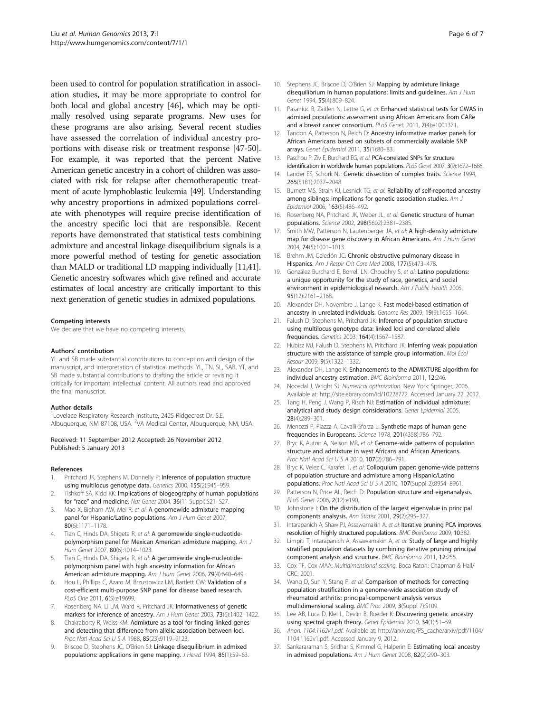<span id="page-5-0"></span>been used to control for population stratification in association studies, it may be more appropriate to control for both local and global ancestry [\[46](#page-6-0)], which may be optimally resolved using separate programs. New uses for these programs are also arising. Several recent studies have assessed the correlation of individual ancestry proportions with disease risk or treatment response [[47](#page-6-0)-[50](#page-6-0)]. For example, it was reported that the percent Native American genetic ancestry in a cohort of children was associated with risk for relapse after chemotherapeutic treatment of acute lymphoblastic leukemia [[49](#page-6-0)]. Understanding why ancestry proportions in admixed populations correlate with phenotypes will require precise identification of the ancestry specific loci that are responsible. Recent reports have demonstrated that statistical tests combining admixture and ancestral linkage disequilibrium signals is a more powerful method of testing for genetic association than MALD or traditional LD mapping individually [11[,41](#page-6-0)]. Genetic ancestry softwares which give refined and accurate estimates of local ancestry are critically important to this next generation of genetic studies in admixed populations.

#### Competing interests

We declare that we have no competing interests.

#### Authors' contribution

YL and SB made substantial contributions to conception and design of the manuscript, and interpretation of statistical methods. YL, TN, SL, SAB, YT, and SB made substantial contributions to drafting the article or revising it critically for important intellectual content. All authors read and approved the final manuscript.

#### Author details

<sup>1</sup> Lovelace Respiratory Research Institute, 2425 Ridgecrest Dr. S.E, Albuquerque, NM 87108, USA. <sup>2</sup>VA Medical Center, Albuquerque, NM, USA.

Received: 11 September 2012 Accepted: 26 November 2012 Published: 5 January 2013

#### References

- 1. Pritchard JK, Stephens M, Donnelly P: Inference of population structure using multilocus genotype data. Genetics 2000, 155(2):945–959.
- 2. Tishkoff SA, Kidd KK: Implications of biogeography of human populations for "race" and medicine. Nat Genet 2004, 36(11 Suppl):S21–S27.
- 3. Mao X, Bigham AW, Mei R, et al: A genomewide admixture mapping panel for Hispanic/Latino populations. Am J Hum Genet 2007, 80(6):1171–1178.
- 4. Tian C, Hinds DA, Shigeta R, et al: A genomewide single-nucleotidepolymorphism panel for Mexican American admixture mapping. Am J Hum Genet 2007, 80(6):1014-1023.
- Tian C, Hinds DA, Shigeta R, et al: A genomewide single-nucleotidepolymorphism panel with high ancestry information for African American admixture mapping. Am J Hum Genet 2006, 79(4):640–649.
- 6. Hou L, Phillips C, Azaro M, Brzustowicz LM, Bartlett CW: Validation of a cost-efficient multi-purpose SNP panel for disease based research. PLoS One 2011, 6(5):e19699.
- 7. Rosenberg NA, Li LM, Ward R, Pritchard JK: Informativeness of genetic markers for inference of ancestry. Am J Hum Genet 2003, 73(6):1402-1422.
- 8. Chakraborty R, Weiss KM: Admixture as a tool for finding linked genes and detecting that difference from allelic association between loci. Proc Natl Acad Sci U S A 1988, 85(23):9119–9123.
- 9. Briscoe D, Stephens JC, O'Brien SJ: Linkage disequilibrium in admixed populations: applications in gene mapping. J Hered 1994, 85(1):59-63.
- 10. Stephens JC, Briscoe D, O'Brien SJ: Mapping by admixture linkage disequilibrium in human populations: limits and guidelines. Am J Hum Genet 1994, 55(4):809–824.
- 11. Pasaniuc B, Zaitlen N, Lettre G, et al: Enhanced statistical tests for GWAS in admixed populations: assessment using African Americans from CARe and a breast cancer consortium. PLoS Genet. 2011, 7(4):e1001371.
- 12. Tandon A, Patterson N, Reich D: Ancestry informative marker panels for African Americans based on subsets of commercially available SNP arrays. Genet Epidemiol 2011, 35(1):80–83.
- 13. Paschou P, Ziv E, Burchard EG, et al: PCA-correlated SNPs for structure identification in worldwide human populations. PLoS Genet 2007, 3(9):1672-1686.
- 14. Lander ES, Schork NJ: Genetic dissection of complex traits. Science 1994, 265(5181):2037–2048.
- 15. Burnett MS, Strain KJ, Lesnick TG, et al: Reliability of self-reported ancestry among siblings: implications for genetic association studies. Am J Epidemiol 2006, 163(5):486–492.
- 16. Rosenberg NA, Pritchard JK, Weber JL, et al: Genetic structure of human populations. Science 2002, 298(5602):2381–2385.
- 17. Smith MW, Patterson N, Lautenberger JA, et al: A high-density admixture map for disease gene discovery in African Americans. Am J Hum Genet 2004, 74(5):1001–1013.
- 18. Brehm JM, Celedón JC: Chronic obstructive pulmonary disease in Hispanics. Am J Respir Crit Care Med 2008, 177(5):473–478.
- 19. González Burchard E, Borrell LN, Choudhry S, et al: Latino populations: a unique opportunity for the study of race, genetics, and social environment in epidemiological research. Am J Public Health 2005, 95(12):2161–2168.
- 20. Alexander DH, Novembre J, Lange K: Fast model-based estimation of ancestry in unrelated individuals. Genome Res 2009, 19(9):1655–1664.
- 21. Falush D, Stephens M, Pritchard JK: Inference of population structure using multilocus genotype data: linked loci and correlated allele frequencies. Genetics 2003, 164(4):1567–1587.
- 22. Hubisz MJ, Falush D, Stephens M, Pritchard JK: Inferring weak population structure with the assistance of sample group information. Mol Ecol Resour 2009, 9(5):1322–1332.
- 23. Alexander DH, Lange K: Enhancements to the ADMIXTURE algorithm for individual ancestry estimation. BMC Bioinforma 2011, 12:246.
- 24. Nocedal J, Wright SJ: Numerical optimization. New York: Springer; 2006. Available at: [http://site.ebrary.com/id/10228772.](http://site.ebrary.com/id/10228772) Accessed January 22, 2012.
- 25. Tang H, Peng J, Wang P, Risch NJ: Estimation of individual admixture: analytical and study design considerations. Genet Epidemiol 2005, 28(4):289–301.
- 26. Menozzi P, Piazza A, Cavalli-Sforza L: Synthetic maps of human gene frequencies in Europeans. Science 1978, 201(4358):786–792.
- 27. Bryc K, Auton A, Nelson MR, et al: Genome-wide patterns of population structure and admixture in west Africans and African Americans. Proc Natl Acad Sci U S A 2010, 107(2):786–791.
- 28. Bryc K, Velez C, Karafet T, et al: Colloquium paper: genome-wide patterns of population structure and admixture among Hispanic/Latino populations. Proc Natl Acad Sci U S A 2010, 107(Suppl 2):8954–8961.
- 29. Patterson N, Price AL, Reich D: Population structure and eigenanalysis. PLoS Genet 2006, 2(12):e190.
- 30. Johnstone I: On the distribution of the largest eigenvalue in principal components analsysis. Ann Statist 2001, 29(2):295–327.
- 31. Intarapanich A, Shaw PJ, Assawamakin A, et al: Iterative pruning PCA improves resolution of highly structured populations. BMC Bioinforma 2009, 10:382.
- 32. Limpiti T, Intarapanich A, Assawamakin A, et al: Study of large and highly stratified population datasets by combining iterative pruning principal component analysis and structure. BMC Bioinforma 2011, 12:255.
- 33. Cox TF, Cox MAA: Multidimensional scaling. Boca Raton: Chapman & Hall/ CRC; 2001.
- 34. Wang D, Sun Y, Stang P, et al: Comparison of methods for correcting population stratification in a genome-wide association study of rheumatoid arthritis: principal-component analysis versus multidimensional scaling. BMC Proc 2009, 3(Suppl 7):S109.
- 35. Lee AB, Luca D, Klei L, Devlin B, Roeder K: Discovering genetic ancestry using spectral graph theory. Genet Epidemiol 2010, 34(1):51–59.
- 36. Anon. 1104.1162v1.pdf. Available at: [http://arxiv.org/PS\\_cache/arxiv/pdf/1104/](http://arxiv.org/PS_cache/arxiv/pdf/1104/1104.1162v1.pdf) [1104.1162v1.pdf.](http://arxiv.org/PS_cache/arxiv/pdf/1104/1104.1162v1.pdf) Accessed January 9, 2012.
- 37. Sankararaman S, Sridhar S, Kimmel G, Halperin E: Estimating local ancestry in admixed populations. Am J Hum Genet 2008, 82(2):290–303.